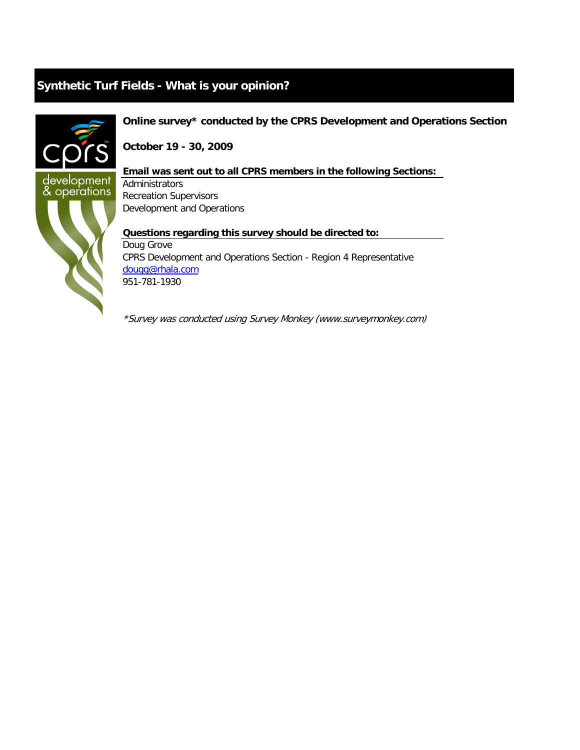

## **Online survey\* conducted by the CPRS Development and Operations Section**

**October 19 - 30, 2009**

## **Email was sent out to all CPRS members in the following Sections:**

Administrators Recreation Supervisors Development and Operations

**Questions regarding this survey should be directed to:** Doug Grove CPRS Development and Operations Section - Region 4 Representative [dougg@rhala.com](mailto:dougg@rhala.com) 951-781-1930

\*Survey was conducted using Survey Monkey (www.surveymonkey.com)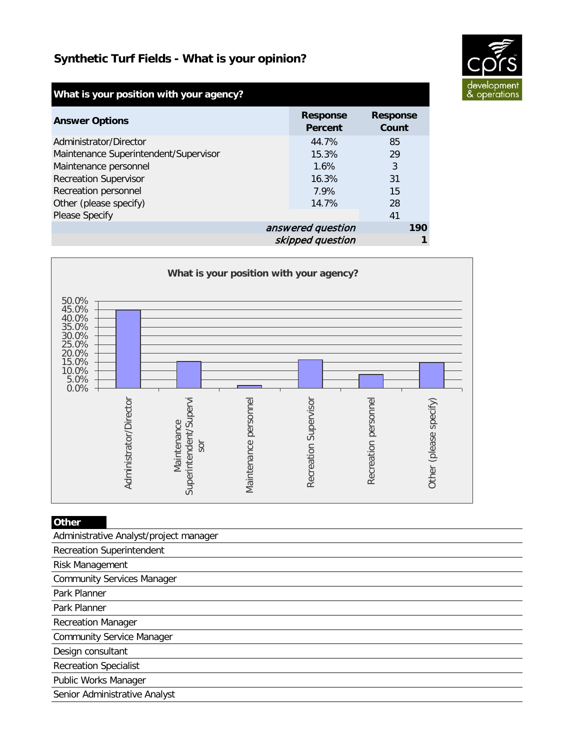

| What is your position with your agency? |                            |                          |
|-----------------------------------------|----------------------------|--------------------------|
| <b>Answer Options</b>                   | <b>Response</b><br>Percent | <b>Response</b><br>Count |
| Administrator/Director                  | 44.7%                      | 85                       |
| Maintenance Superintendent/Supervisor   | 15.3%                      | 29                       |
| Maintenance personnel                   | 1.6%                       | 3                        |
| <b>Recreation Supervisor</b>            | 16.3%                      | 31                       |
| Recreation personnel                    | 7.9%                       | 15                       |
| Other (please specify)                  | 14.7%                      | 28                       |
| <b>Please Specify</b>                   |                            | 41                       |
| answered question                       |                            | 190                      |
|                                         | skipped question           |                          |



| Other                                  |
|----------------------------------------|
| Administrative Analyst/project manager |
| <b>Recreation Superintendent</b>       |
| Risk Management                        |
| <b>Community Services Manager</b>      |
| Park Planner                           |
| Park Planner                           |
| <b>Recreation Manager</b>              |
| <b>Community Service Manager</b>       |
| Design consultant                      |
| <b>Recreation Specialist</b>           |
| Public Works Manager                   |
| Senior Administrative Analyst          |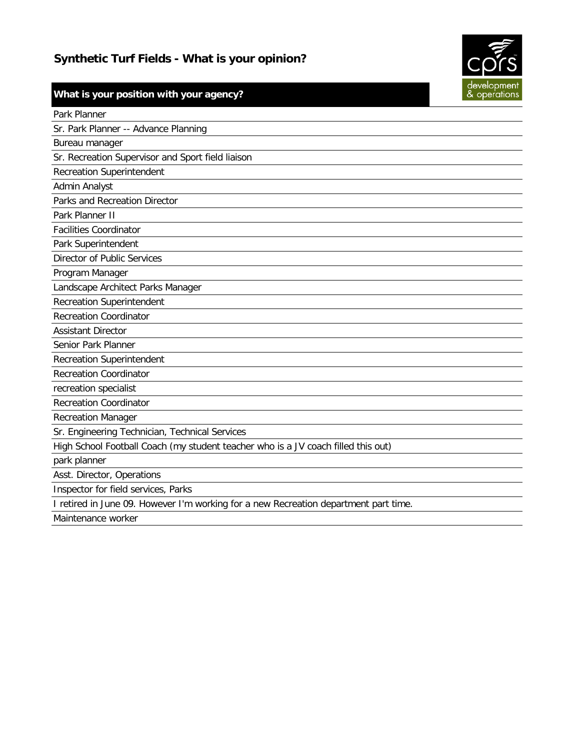

|  | What is your position with your agency? |  |  |
|--|-----------------------------------------|--|--|
|  |                                         |  |  |

| Park Planner                                                                         |
|--------------------------------------------------------------------------------------|
| Sr. Park Planner -- Advance Planning                                                 |
| Bureau manager                                                                       |
| Sr. Recreation Supervisor and Sport field liaison                                    |
| <b>Recreation Superintendent</b>                                                     |
| Admin Analyst                                                                        |
| Parks and Recreation Director                                                        |
| Park Planner II                                                                      |
| <b>Facilities Coordinator</b>                                                        |
| Park Superintendent                                                                  |
| <b>Director of Public Services</b>                                                   |
| Program Manager                                                                      |
| Landscape Architect Parks Manager                                                    |
| <b>Recreation Superintendent</b>                                                     |
| <b>Recreation Coordinator</b>                                                        |
| <b>Assistant Director</b>                                                            |
| Senior Park Planner                                                                  |
| <b>Recreation Superintendent</b>                                                     |
| <b>Recreation Coordinator</b>                                                        |
| recreation specialist                                                                |
| <b>Recreation Coordinator</b>                                                        |
| <b>Recreation Manager</b>                                                            |
| Sr. Engineering Technician, Technical Services                                       |
| High School Football Coach (my student teacher who is a JV coach filled this out)    |
| park planner                                                                         |
| Asst. Director, Operations                                                           |
| Inspector for field services, Parks                                                  |
| I retired in June 09. However I'm working for a new Recreation department part time. |
| Maintenance worker                                                                   |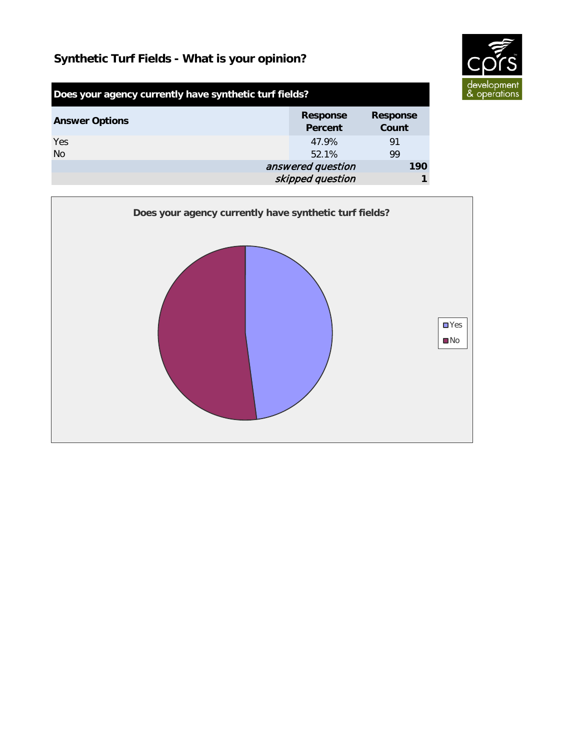

| Does your agency currently have synthetic turf fields? |                                   |                          |
|--------------------------------------------------------|-----------------------------------|--------------------------|
| <b>Answer Options</b>                                  | <b>Response</b><br><b>Percent</b> | <b>Response</b><br>Count |
| Yes                                                    | 47.9%                             | 91                       |
| <b>No</b>                                              | 52.1%                             | 99                       |
| answered question                                      |                                   | 190                      |
| skipped question                                       |                                   |                          |

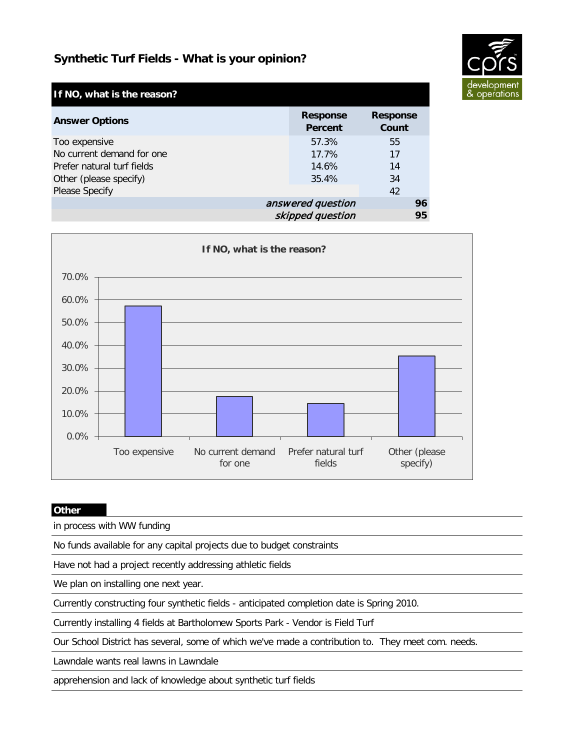

| If NO, what is the reason? |                            |                          |
|----------------------------|----------------------------|--------------------------|
| <b>Answer Options</b>      | <b>Response</b><br>Percent | <b>Response</b><br>Count |
| Too expensive              | 57.3%                      | 55                       |
| No current demand for one  | 17.7%                      | 17                       |
| Prefer natural turf fields | 14.6%                      | 14                       |
| Other (please specify)     | 35.4%                      | 34                       |
| <b>Please Specify</b>      |                            | 42                       |
|                            | answered question          | 96                       |
|                            | skipped question           | 95                       |



### **Other**

in process with WW funding

No funds available for any capital projects due to budget constraints

Have not had a project recently addressing athletic fields

We plan on installing one next year.

Currently constructing four synthetic fields - anticipated completion date is Spring 2010.

Currently installing 4 fields at Bartholomew Sports Park - Vendor is Field Turf

Our School District has several, some of which we've made a contribution to. They meet com. needs.

Lawndale wants real lawns in Lawndale

apprehension and lack of knowledge about synthetic turf fields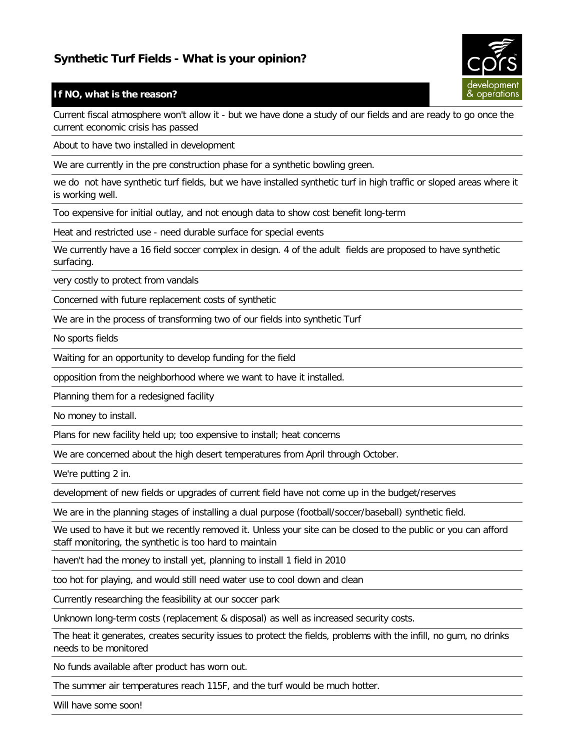

## **If NO, what is the reason?**

Current fiscal atmosphere won't allow it - but we have done a study of our fields and are ready to go once the current economic crisis has passed

About to have two installed in development

We are currently in the pre construction phase for a synthetic bowling green.

we do not have synthetic turf fields, but we have installed synthetic turf in high traffic or sloped areas where it is working well.

Too expensive for initial outlay, and not enough data to show cost benefit long-term

Heat and restricted use - need durable surface for special events

We currently have a 16 field soccer complex in design. 4 of the adult fields are proposed to have synthetic surfacing.

very costly to protect from vandals

Concerned with future replacement costs of synthetic

We are in the process of transforming two of our fields into synthetic Turf

No sports fields

Waiting for an opportunity to develop funding for the field

opposition from the neighborhood where we want to have it installed.

Planning them for a redesigned facility

No money to install.

Plans for new facility held up; too expensive to install; heat concerns

We are concerned about the high desert temperatures from April through October.

We're putting 2 in.

development of new fields or upgrades of current field have not come up in the budget/reserves

We are in the planning stages of installing a dual purpose (football/soccer/baseball) synthetic field.

We used to have it but we recently removed it. Unless your site can be closed to the public or you can afford staff monitoring, the synthetic is too hard to maintain

haven't had the money to install yet, planning to install 1 field in 2010

too hot for playing, and would still need water use to cool down and clean

Currently researching the feasibility at our soccer park

Unknown long-term costs (replacement & disposal) as well as increased security costs.

The heat it generates, creates security issues to protect the fields, problems with the infill, no gum, no drinks needs to be monitored

No funds available after product has worn out.

The summer air temperatures reach 115F, and the turf would be much hotter.

Will have some soon!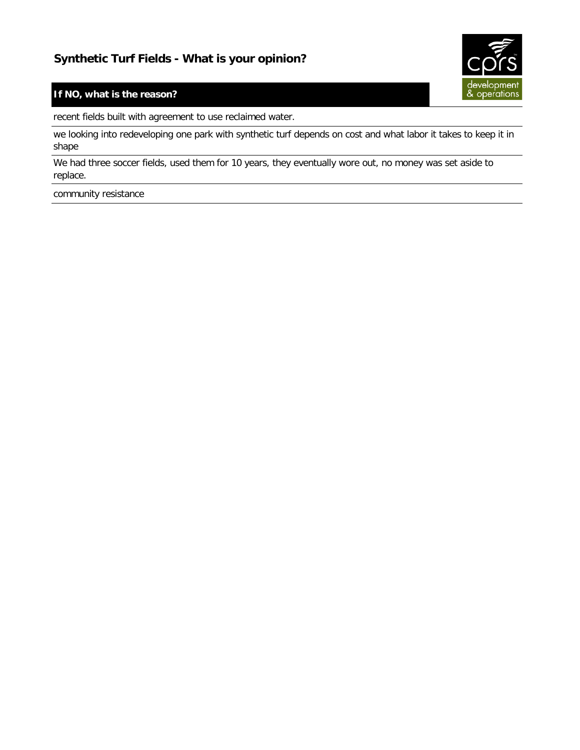

## **If NO, what is the reason?**

recent fields built with agreement to use reclaimed water.

we looking into redeveloping one park with synthetic turf depends on cost and what labor it takes to keep it in shape

We had three soccer fields, used them for 10 years, they eventually wore out, no money was set aside to replace.

community resistance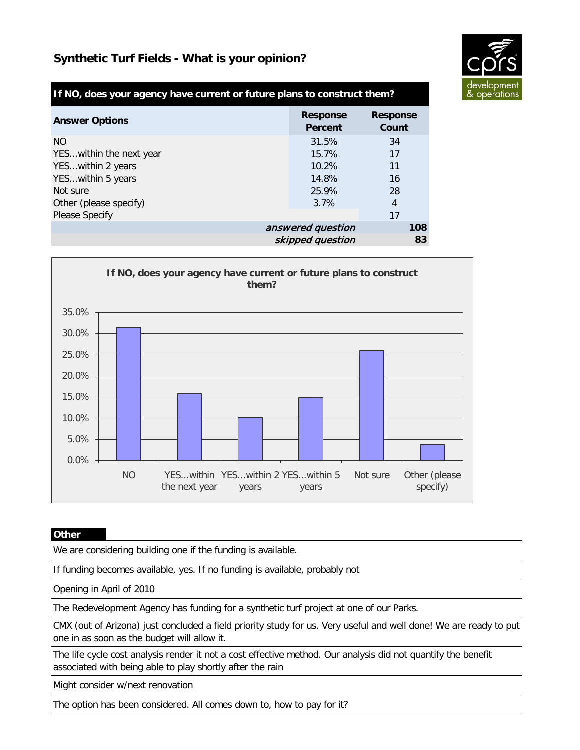

## **If NO, does your agency have current or future plans to construct them?**

| <b>Answer Options</b>    | <b>Response</b><br>Percent | <b>Response</b><br>Count |
|--------------------------|----------------------------|--------------------------|
| NO.                      | 31.5%                      | 34                       |
| YES within the next year | 15.7%                      | 17                       |
| YESwithin 2 years        | 10.2%                      | 11                       |
| YESwithin 5 years        | 14.8%                      | 16                       |
| Not sure                 | 25.9%                      | 28                       |
| Other (please specify)   | 3.7%                       | 4                        |
| <b>Please Specify</b>    |                            | 17                       |
|                          | answered question          | 108                      |
|                          | skipped question           | 83                       |



#### **Other**

We are considering building one if the funding is available.

If funding becomes available, yes. If no funding is available, probably not

Opening in April of 2010

The Redevelopment Agency has funding for a synthetic turf project at one of our Parks.

CMX (out of Arizona) just concluded a field priority study for us. Very useful and well done! We are ready to put one in as soon as the budget will allow it.

The life cycle cost analysis render it not a cost effective method. Our analysis did not quantify the benefit associated with being able to play shortly after the rain

Might consider w/next renovation

The option has been considered. All comes down to, how to pay for it?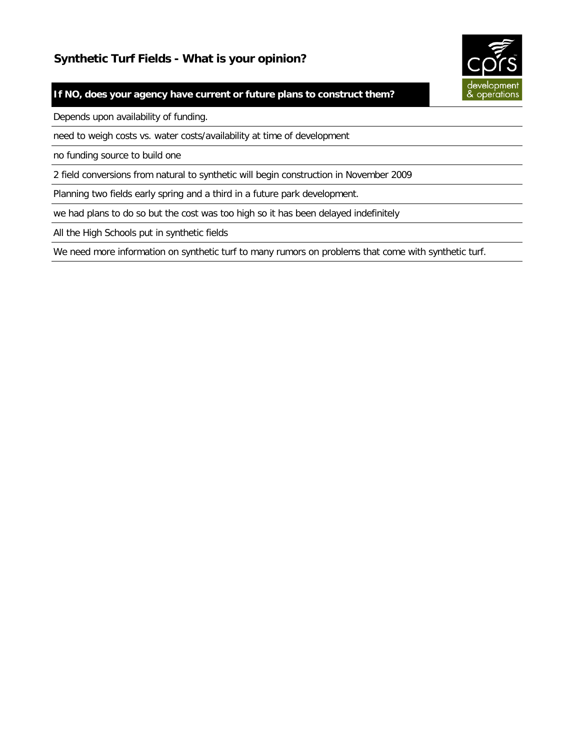

## **If NO, does your agency have current or future plans to construct them?**

Depends upon availability of funding.

need to weigh costs vs. water costs/availability at time of development

no funding source to build one

2 field conversions from natural to synthetic will begin construction in November 2009

Planning two fields early spring and a third in a future park development.

we had plans to do so but the cost was too high so it has been delayed indefinitely

All the High Schools put in synthetic fields

We need more information on synthetic turf to many rumors on problems that come with synthetic turf.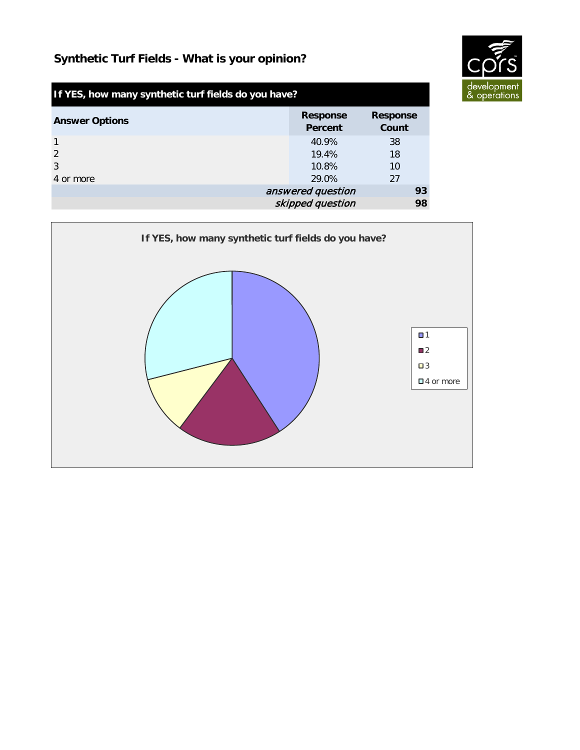

| If YES, how many synthetic turf fields do you have? |                            |                          |
|-----------------------------------------------------|----------------------------|--------------------------|
| <b>Answer Options</b>                               | <b>Response</b><br>Percent | <b>Response</b><br>Count |
| $\overline{1}$                                      | 40.9%                      | 38                       |
| $\mathcal{P}$                                       | 19.4%                      | 18                       |
| 3                                                   | 10.8%                      | 10                       |
| 4 or more                                           | 29.0%                      | 27                       |
| answered question                                   |                            | 93                       |
|                                                     | skipped question           | 98                       |

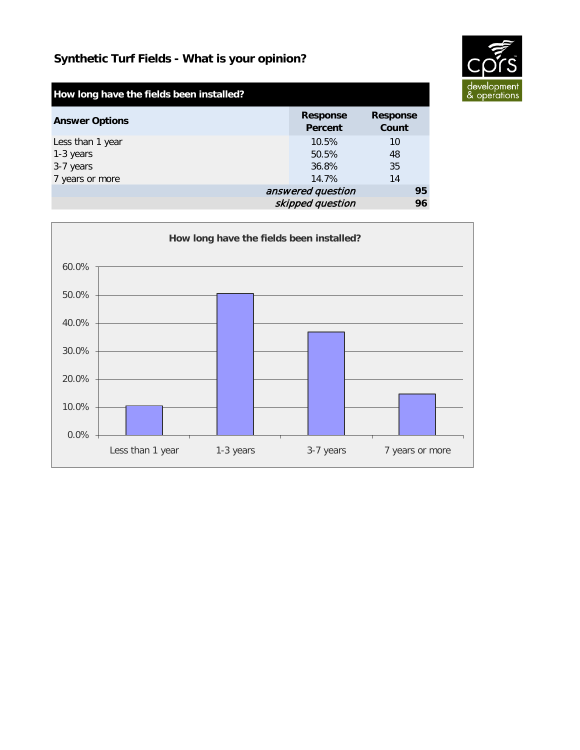

| How long have the fields been installed? |                            |                          |
|------------------------------------------|----------------------------|--------------------------|
| <b>Answer Options</b>                    | <b>Response</b><br>Percent | <b>Response</b><br>Count |
| Less than 1 year                         | 10.5%                      | 10                       |
| 1-3 years                                | 50.5%                      | 48                       |
| 3-7 years                                | 36.8%                      | 35                       |
| 7 years or more                          | 14.7%                      | 14                       |
|                                          | answered question          | 95                       |
|                                          | skipped question           | 96                       |

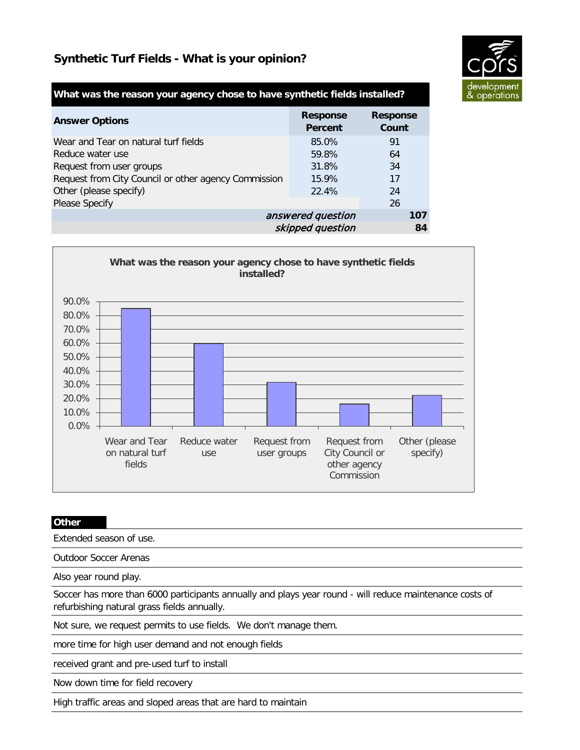

## **What was the reason your agency chose to have synthetic fields installed?**

| <b>Answer Options</b>                                | <b>Response</b><br><b>Percent</b> | <b>Response</b><br>Count |
|------------------------------------------------------|-----------------------------------|--------------------------|
| Wear and Tear on natural turf fields                 | 85.0%                             | 91                       |
| Reduce water use                                     | 59.8%                             | 64                       |
| Request from user groups                             | 31.8%                             | 34                       |
| Request from City Council or other agency Commission | 15.9%                             | 17                       |
| Other (please specify)                               | 22.4%                             | 24                       |
| <b>Please Specify</b>                                |                                   | 26                       |
|                                                      | answered question                 | 107                      |
|                                                      | skipped question                  | 84                       |



#### **Other**

Extended season of use.

Outdoor Soccer Arenas

Also year round play.

Soccer has more than 6000 participants annually and plays year round - will reduce maintenance costs of refurbishing natural grass fields annually.

Not sure, we request permits to use fields. We don't manage them.

more time for high user demand and not enough fields

received grant and pre-used turf to install

Now down time for field recovery

High traffic areas and sloped areas that are hard to maintain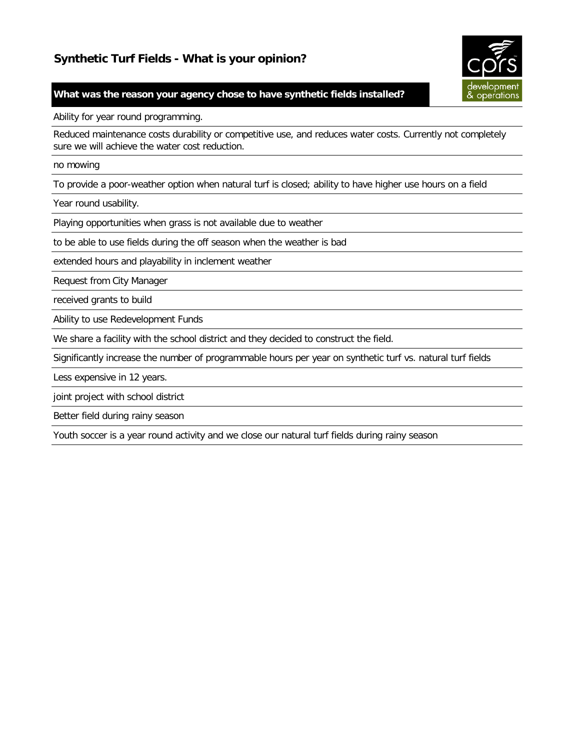

### **What was the reason your agency chose to have synthetic fields installed?**

Ability for year round programming.

Reduced maintenance costs durability or competitive use, and reduces water costs. Currently not completely sure we will achieve the water cost reduction.

no mowing

To provide a poor-weather option when natural turf is closed; ability to have higher use hours on a field

Year round usability.

Playing opportunities when grass is not available due to weather

to be able to use fields during the off season when the weather is bad

extended hours and playability in inclement weather

Request from City Manager

received grants to build

Ability to use Redevelopment Funds

We share a facility with the school district and they decided to construct the field.

Significantly increase the number of programmable hours per year on synthetic turf vs. natural turf fields

Less expensive in 12 years.

joint project with school district

Better field during rainy season

Youth soccer is a year round activity and we close our natural turf fields during rainy season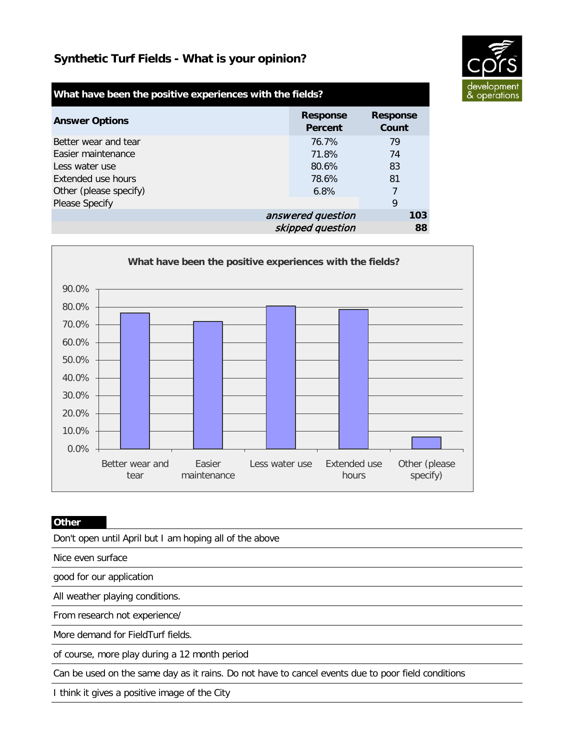

| What have been the positive experiences with the fields? |                            |                          |
|----------------------------------------------------------|----------------------------|--------------------------|
| <b>Answer Options</b>                                    | <b>Response</b><br>Percent | <b>Response</b><br>Count |
| Better wear and tear                                     | 76.7%                      | 79                       |
| Easier maintenance                                       | 71.8%                      | 74                       |
| Less water use                                           | 80.6%                      | 83                       |
| Extended use hours                                       | 78.6%                      | 81                       |
| Other (please specify)                                   | 6.8%                       | 7                        |
| <b>Please Specify</b>                                    |                            | 9                        |
|                                                          | answered question          | 103                      |
|                                                          | skipped question           | 88                       |



#### **Other**

Don't open until April but I am hoping all of the above

Nice even surface

good for our application

All weather playing conditions.

From research not experience/

More demand for FieldTurf fields.

of course, more play during a 12 month period

Can be used on the same day as it rains. Do not have to cancel events due to poor field conditions

I think it gives a positive image of the City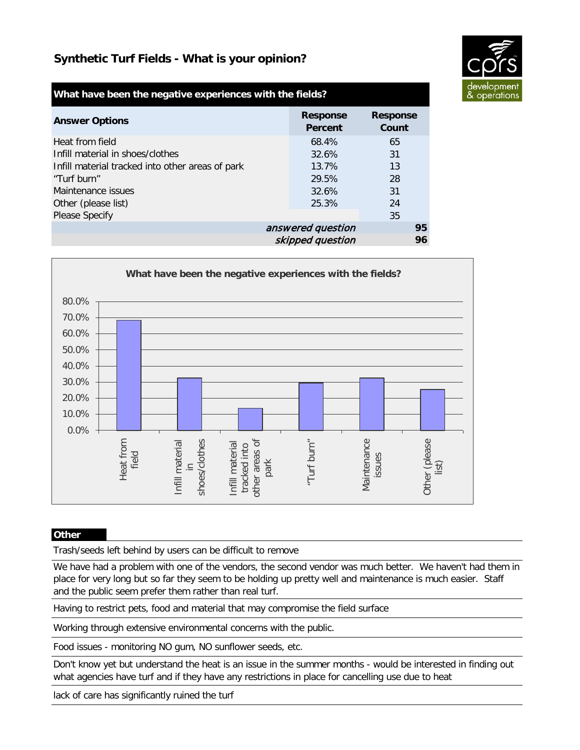

| What have been the negative experiences with the fields? |                            |                          |
|----------------------------------------------------------|----------------------------|--------------------------|
| <b>Answer Options</b>                                    | <b>Response</b><br>Percent | <b>Response</b><br>Count |
| Heat from field                                          | 68.4%                      | 65                       |
| Infill material in shoes/clothes                         | 32.6%                      | 31                       |
| Infill material tracked into other areas of park         | 13.7%                      | 13                       |
| "Turf burn"                                              | 29.5%                      | 28                       |
| Maintenance issues                                       | 32.6%                      | 31                       |
| Other (please list)                                      | 25.3%                      | 24                       |
| <b>Please Specify</b>                                    |                            | 35                       |
|                                                          | answered question          | 95                       |
|                                                          | skipped question           | 96                       |



### **Other**

Trash/seeds left behind by users can be difficult to remove

We have had a problem with one of the vendors, the second vendor was much better. We haven't had them in place for very long but so far they seem to be holding up pretty well and maintenance is much easier. Staff and the public seem prefer them rather than real turf.

Having to restrict pets, food and material that may compromise the field surface

Working through extensive environmental concerns with the public.

Food issues - monitoring NO gum, NO sunflower seeds, etc.

Don't know yet but understand the heat is an issue in the summer months - would be interested in finding out what agencies have turf and if they have any restrictions in place for cancelling use due to heat

lack of care has significantly ruined the turf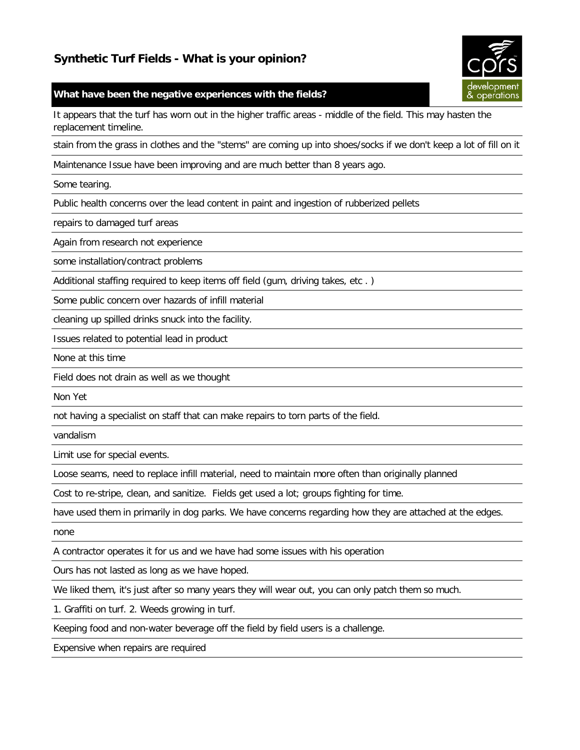#### **What have been the negative experiences with the fields?**

It appears that the turf has worn out in the higher traffic areas - middle of the field. This may hasten the replacement timeline.

stain from the grass in clothes and the "stems" are coming up into shoes/socks if we don't keep a lot of fill on it

Maintenance Issue have been improving and are much better than 8 years ago.

Some tearing.

Public health concerns over the lead content in paint and ingestion of rubberized pellets

repairs to damaged turf areas

Again from research not experience

some installation/contract problems

Additional staffing required to keep items off field (gum, driving takes, etc . )

Some public concern over hazards of infill material

cleaning up spilled drinks snuck into the facility.

Issues related to potential lead in product

None at this time

Field does not drain as well as we thought

Non Yet

not having a specialist on staff that can make repairs to torn parts of the field.

vandalism

Limit use for special events.

Loose seams, need to replace infill material, need to maintain more often than originally planned

Cost to re-stripe, clean, and sanitize. Fields get used a lot; groups fighting for time.

have used them in primarily in dog parks. We have concerns regarding how they are attached at the edges.

none

A contractor operates it for us and we have had some issues with his operation

Ours has not lasted as long as we have hoped.

We liked them, it's just after so many years they will wear out, you can only patch them so much.

1. Graffiti on turf. 2. Weeds growing in turf.

Keeping food and non-water beverage off the field by field users is a challenge.

Expensive when repairs are required

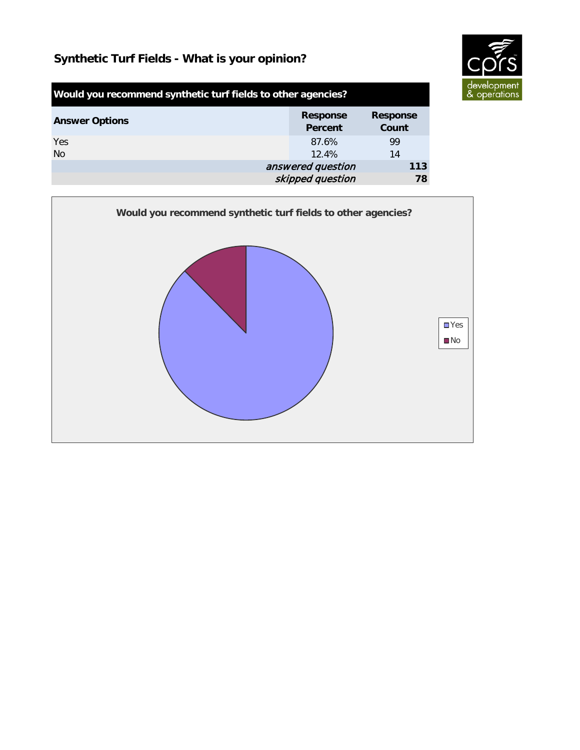

| Would you recommend synthetic turf fields to other agencies? |                                   |                          |
|--------------------------------------------------------------|-----------------------------------|--------------------------|
| <b>Answer Options</b>                                        | <b>Response</b><br><b>Percent</b> | <b>Response</b><br>Count |
| Yes                                                          | 87.6%                             | 99                       |
| <b>No</b>                                                    | $12.4\%$                          | 14                       |
|                                                              | answered question                 | 113                      |
|                                                              | skipped question                  | 78                       |

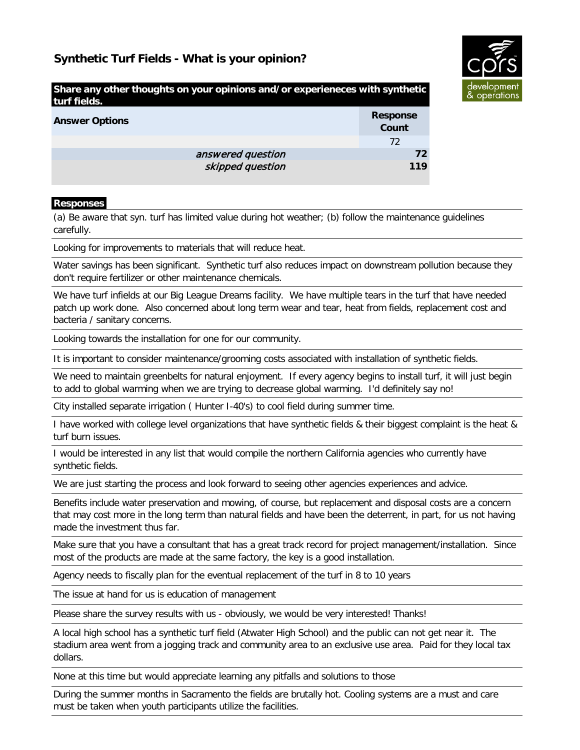

| Share any other thoughts on your opinions and/or experieneces with synthetic<br>turf fields. |                          |  |
|----------------------------------------------------------------------------------------------|--------------------------|--|
| <b>Answer Options</b>                                                                        | <b>Response</b><br>Count |  |
|                                                                                              | 72                       |  |
| answered question                                                                            | 72                       |  |
| skipped question                                                                             | 119                      |  |

#### **Responses**

(a) Be aware that syn. turf has limited value during hot weather; (b) follow the maintenance guidelines carefully.

Looking for improvements to materials that will reduce heat.

Water savings has been significant. Synthetic turf also reduces impact on downstream pollution because they don't require fertilizer or other maintenance chemicals.

We have turf infields at our Big League Dreams facility. We have multiple tears in the turf that have needed patch up work done. Also concerned about long term wear and tear, heat from fields, replacement cost and bacteria / sanitary concerns.

Looking towards the installation for one for our community.

It is important to consider maintenance/grooming costs associated with installation of synthetic fields.

We need to maintain greenbelts for natural enjoyment. If every agency begins to install turf, it will just begin to add to global warming when we are trying to decrease global warming. I'd definitely say no!

City installed separate irrigation ( Hunter I-40's) to cool field during summer time.

I have worked with college level organizations that have synthetic fields & their biggest complaint is the heat & turf burn issues.

I would be interested in any list that would compile the northern California agencies who currently have synthetic fields.

We are just starting the process and look forward to seeing other agencies experiences and advice.

Benefits include water preservation and mowing, of course, but replacement and disposal costs are a concern that may cost more in the long term than natural fields and have been the deterrent, in part, for us not having made the investment thus far.

Make sure that you have a consultant that has a great track record for project management/installation. Since most of the products are made at the same factory, the key is a good installation.

Agency needs to fiscally plan for the eventual replacement of the turf in 8 to 10 years

The issue at hand for us is education of management

Please share the survey results with us - obviously, we would be very interested! Thanks!

A local high school has a synthetic turf field (Atwater High School) and the public can not get near it. The stadium area went from a jogging track and community area to an exclusive use area. Paid for they local tax dollars.

None at this time but would appreciate learning any pitfalls and solutions to those

During the summer months in Sacramento the fields are brutally hot. Cooling systems are a must and care must be taken when youth participants utilize the facilities.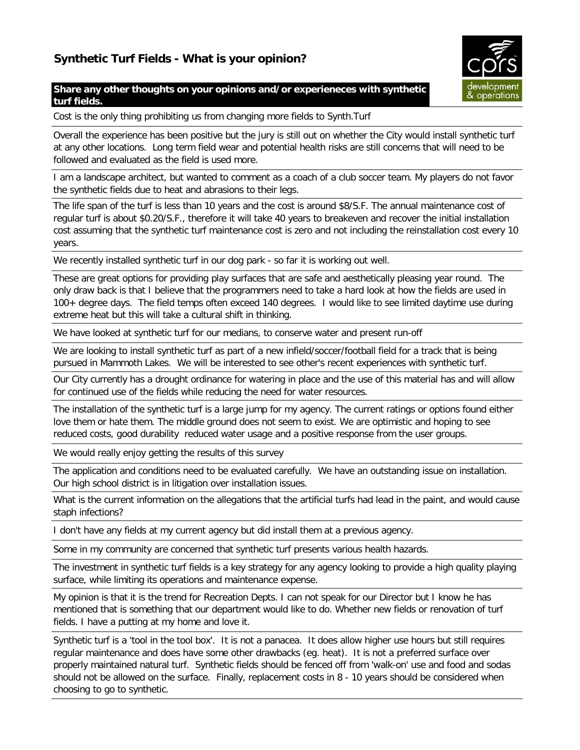### **Share any other thoughts on your opinions and/or experieneces with synthetic turf fields.**

Cost is the only thing prohibiting us from changing more fields to Synth.Turf

Overall the experience has been positive but the jury is still out on whether the City would install synthetic turf at any other locations. Long term field wear and potential health risks are still concerns that will need to be followed and evaluated as the field is used more.

I am a landscape architect, but wanted to comment as a coach of a club soccer team. My players do not favor the synthetic fields due to heat and abrasions to their legs.

The life span of the turf is less than 10 years and the cost is around \$8/S.F. The annual maintenance cost of regular turf is about \$0.20/S.F., therefore it will take 40 years to breakeven and recover the initial installation cost assuming that the synthetic turf maintenance cost is zero and not including the reinstallation cost every 10 years.

We recently installed synthetic turf in our dog park - so far it is working out well.

These are great options for providing play surfaces that are safe and aesthetically pleasing year round. The only draw back is that I believe that the programmers need to take a hard look at how the fields are used in 100+ degree days. The field temps often exceed 140 degrees. I would like to see limited daytime use during extreme heat but this will take a cultural shift in thinking.

We have looked at synthetic turf for our medians, to conserve water and present run-off

We are looking to install synthetic turf as part of a new infield/soccer/football field for a track that is being pursued in Mammoth Lakes. We will be interested to see other's recent experiences with synthetic turf.

Our City currently has a drought ordinance for watering in place and the use of this material has and will allow for continued use of the fields while reducing the need for water resources.

The installation of the synthetic turf is a large jump for my agency. The current ratings or options found either love them or hate them. The middle ground does not seem to exist. We are optimistic and hoping to see reduced costs, good durability reduced water usage and a positive response from the user groups.

We would really enjoy getting the results of this survey

The application and conditions need to be evaluated carefully. We have an outstanding issue on installation. Our high school district is in litigation over installation issues.

What is the current information on the allegations that the artificial turfs had lead in the paint, and would cause staph infections?

I don't have any fields at my current agency but did install them at a previous agency.

Some in my community are concerned that synthetic turf presents various health hazards.

The investment in synthetic turf fields is a key strategy for any agency looking to provide a high quality playing surface, while limiting its operations and maintenance expense.

My opinion is that it is the trend for Recreation Depts. I can not speak for our Director but I know he has mentioned that is something that our department would like to do. Whether new fields or renovation of turf fields. I have a putting at my home and love it.

Synthetic turf is a 'tool in the tool box'. It is not a panacea. It does allow higher use hours but still requires regular maintenance and does have some other drawbacks (eg. heat). It is not a preferred surface over properly maintained natural turf. Synthetic fields should be fenced off from 'walk-on' use and food and sodas should not be allowed on the surface. Finally, replacement costs in 8 - 10 years should be considered when choosing to go to synthetic.

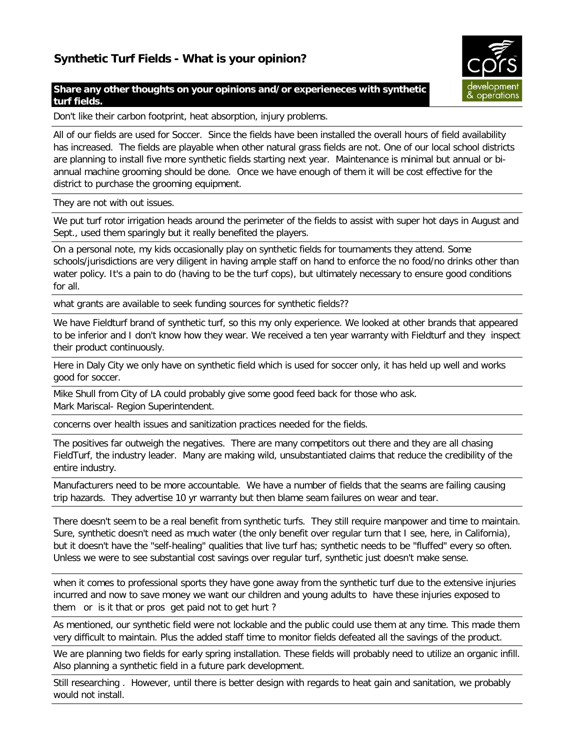### **Share any other thoughts on your opinions and/or experieneces with synthetic turf fields.**

Don't like their carbon footprint, heat absorption, injury problems.

All of our fields are used for Soccer. Since the fields have been installed the overall hours of field availability has increased. The fields are playable when other natural grass fields are not. One of our local school districts are planning to install five more synthetic fields starting next year. Maintenance is minimal but annual or biannual machine grooming should be done. Once we have enough of them it will be cost effective for the district to purchase the grooming equipment.

They are not with out issues.

We put turf rotor irrigation heads around the perimeter of the fields to assist with super hot days in August and Sept., used them sparingly but it really benefited the players.

On a personal note, my kids occasionally play on synthetic fields for tournaments they attend. Some schools/jurisdictions are very diligent in having ample staff on hand to enforce the no food/no drinks other than water policy. It's a pain to do (having to be the turf cops), but ultimately necessary to ensure good conditions for all.

what grants are available to seek funding sources for synthetic fields??

We have Fieldturf brand of synthetic turf, so this my only experience. We looked at other brands that appeared to be inferior and I don't know how they wear. We received a ten year warranty with Fieldturf and they inspect their product continuously.

Here in Daly City we only have on synthetic field which is used for soccer only, it has held up well and works good for soccer.

Mike Shull from City of LA could probably give some good feed back for those who ask. Mark Mariscal- Region Superintendent.

concerns over health issues and sanitization practices needed for the fields.

The positives far outweigh the negatives. There are many competitors out there and they are all chasing FieldTurf, the industry leader. Many are making wild, unsubstantiated claims that reduce the credibility of the entire industry.

Manufacturers need to be more accountable. We have a number of fields that the seams are failing causing trip hazards. They advertise 10 yr warranty but then blame seam failures on wear and tear.

There doesn't seem to be a real benefit from synthetic turfs. They still require manpower and time to maintain. Sure, synthetic doesn't need as much water (the only benefit over regular turn that I see, here, in California), but it doesn't have the "self-healing" qualities that live turf has; synthetic needs to be "fluffed" every so often. Unless we were to see substantial cost savings over regular turf, synthetic just doesn't make sense.

when it comes to professional sports they have gone away from the synthetic turf due to the extensive injuries incurred and now to save money we want our children and young adults to have these injuries exposed to them or is it that or pros get paid not to get hurt ?

As mentioned, our synthetic field were not lockable and the public could use them at any time. This made them very difficult to maintain. Plus the added staff time to monitor fields defeated all the savings of the product.

We are planning two fields for early spring installation. These fields will probably need to utilize an organic infill. Also planning a synthetic field in a future park development.

Still researching . However, until there is better design with regards to heat gain and sanitation, we probably would not install.